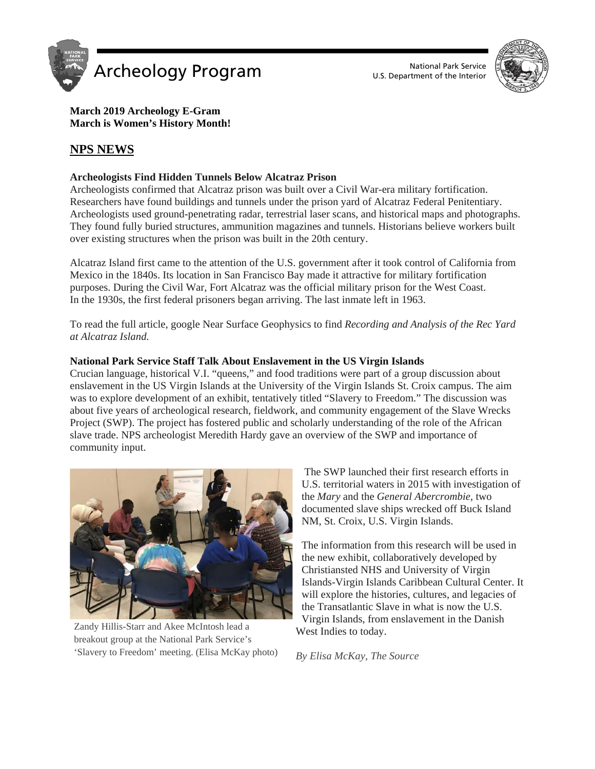



# **March 2019 Archeology E-Gram March is Women's History Month!**

# **NPS NEWS**

# **Archeologists Find Hidden Tunnels Below Alcatraz Prison**

Archeologists confirmed that Alcatraz prison was built over a Civil War-era military fortification. Researchers have found buildings and tunnels under the prison yard of Alcatraz Federal Penitentiary. Archeologists used ground-penetrating radar, terrestrial laser scans, and historical maps and photographs. They found fully buried structures, ammunition magazines and tunnels. Historians believe workers built over existing structures when the prison was built in the 20th century.

Alcatraz Island first came to the attention of the U.S. government after it took control of California from Mexico in the 1840s. Its location in San Francisco Bay made it attractive for military fortification purposes. During the Civil War, Fort Alcatraz was the official military prison for the West Coast. In the 1930s, the first federal prisoners began arriving. The last inmate left in 1963.

To read the full article, google Near Surface Geophysics to find *Recording and Analysis of the Rec Yard at Alcatraz Island.*

# **National Park Service Staff Talk About Enslavement in the US Virgin Islands**

Crucian language, historical V.I. "queens," and food traditions were part of a group discussion about enslavement in the US Virgin Islands at the University of the Virgin Islands St. Croix campus. The aim was to explore development of an exhibit, tentatively titled "Slavery to Freedom." The discussion was about five years of archeological research, fieldwork, and community engagement of the Slave Wrecks Project (SWP). The project has fostered public and scholarly understanding of the role of the African slave trade. NPS archeologist Meredith Hardy gave an overview of the SWP and importance of community input.



Zandy Hillis-Starr and Akee McIntosh lead a breakout group at the National Park Service's 'Slavery to Freedom' meeting. (Elisa McKay photo)

The SWP launched their first research efforts in U.S. territorial waters in 2015 with investigation of the *Mary* and the *General Abercrombie*, two documented slave ships wrecked off Buck Island NM, St. Croix, U.S. Virgin Islands.

The information from this research will be used in the new exhibit, collaboratively developed by Christiansted NHS and University of Virgin Islands-Virgin Islands Caribbean Cultural Center. It will explore the histories, cultures, and legacies of the Transatlantic Slave in what is now the U.S. Virgin Islands, from enslavement in the Danish West Indies to today.

*By Elisa McKay, The Source*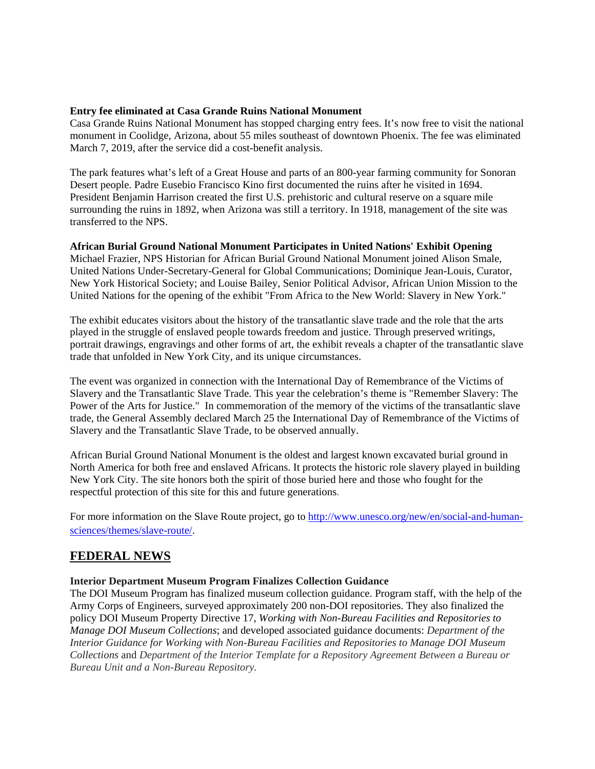## **Entry fee eliminated at Casa Grande Ruins National Monument**

Casa Grande Ruins National Monument has stopped charging entry fees. It's now free to visit the national monument in Coolidge, Arizona, about 55 miles southeast of downtown Phoenix. The fee was eliminated March 7, 2019, after the service did a cost-benefit analysis.

The park features what's left of a Great House and parts of an 800-year farming community for Sonoran Desert people. Padre Eusebio Francisco Kino first documented the ruins after he visited in 1694. President Benjamin Harrison created the first U.S. prehistoric and cultural reserve on a square mile surrounding the ruins in 1892, when Arizona was still a territory. In 1918, management of the site was transferred to the NPS.

## **African Burial Ground National Monument Participates in United Nations' Exhibit Opening**

Michael Frazier, NPS Historian for African Burial Ground National Monument joined Alison Smale, United Nations Under-Secretary-General for Global Communications; Dominique Jean-Louis, Curator, New York Historical Society; and Louise Bailey, Senior Political Advisor, African Union Mission to the United Nations for the opening of the exhibit "From Africa to the New World: Slavery in New York."

The exhibit educates visitors about the history of the transatlantic slave trade and the role that the arts played in the struggle of enslaved people towards freedom and justice. Through preserved writings, portrait drawings, engravings and other forms of art, the exhibit reveals a chapter of the transatlantic slave trade that unfolded in New York City, and its unique circumstances.

The event was organized in connection with the International Day of Remembrance of the Victims of Slavery and the Transatlantic Slave Trade. This year the celebration's theme is "Remember Slavery: The Power of the Arts for Justice." In commemoration of the memory of the victims of the transatlantic slave trade, the General Assembly declared March 25 the International Day of Remembrance of the Victims of Slavery and the Transatlantic Slave Trade, to be observed annually.

African Burial Ground National Monument is the oldest and largest known excavated burial ground in North America for both free and enslaved Africans. It protects the historic role slavery played in building New York City. The site honors both the spirit of those buried here and those who fought for the respectful protection of this site for this and future generations.

For more information on the Slave Route project, go to [http://www.unesco.org/new/en/social-and-human](http://www.google.com/url?q=http%3A%2F%2Fwww.unesco.org%2Fnew%2Fen%2Fsocial-and-human-sciences%2Fthemes%2Fslave-route%2F&sa=D&sntz=1&usg=AFQjCNGV4BYqxNJJH2MPyKWfZjW_VWGNxg)[sciences/themes/slave-route/.](http://www.google.com/url?q=http%3A%2F%2Fwww.unesco.org%2Fnew%2Fen%2Fsocial-and-human-sciences%2Fthemes%2Fslave-route%2F&sa=D&sntz=1&usg=AFQjCNGV4BYqxNJJH2MPyKWfZjW_VWGNxg)

# **FEDERAL NEWS**

#### **Interior Department Museum Program Finalizes Collection Guidance**

The DOI Museum Program has finalized museum collection guidance. Program staff, with the help of the Army Corps of Engineers, surveyed approximately 200 non-DOI repositories. They also finalized the policy DOI Museum Property Directive 17, *Working with Non-Bureau Facilities and Repositories to Manage DOI Museum Collections*; and developed associated guidance documents: *Department of the Interior Guidance for Working with Non-Bureau Facilities and Repositories to Manage DOI Museum Collections* and *Department of the Interior Template for a Repository Agreement Between a Bureau or Bureau Unit and a Non-Bureau Repository.*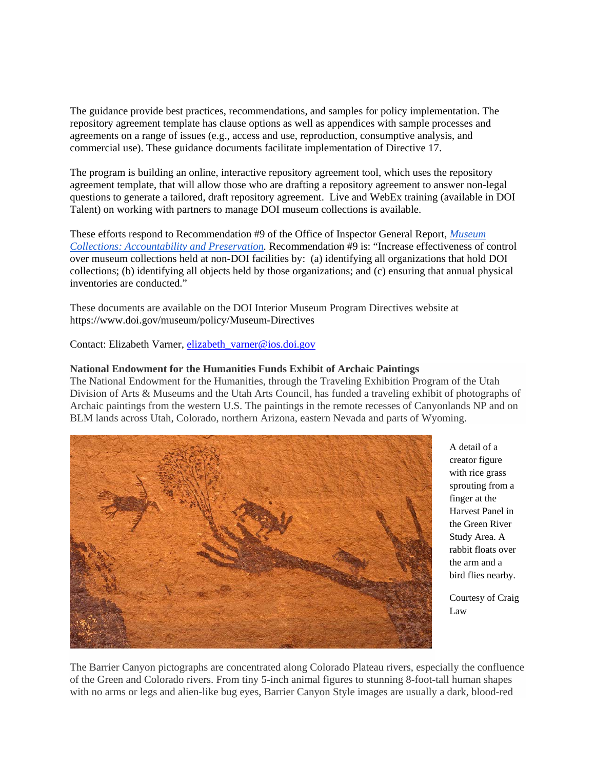The guidance provide best practices, recommendations, and samples for policy implementation. The repository agreement template has clause options as well as appendices with sample processes and agreements on a range of issues (e.g., access and use, reproduction, consumptive analysis, and commercial use). These guidance documents facilitate implementation of Directive 17.

The program is building an online, interactive repository agreement tool, which uses the repository agreement template, that will allow those who are drafting a repository agreement to answer non-legal questions to generate a tailored, draft repository agreement. Live and WebEx training (available in DOI Talent) on working with partners to manage DOI museum collections is available.

These efforts respond to Recommendation #9 of the Office of Inspector General Report, *[Museum](https://www.doioig.gov/sites/doioig.gov/files/2010-I-0005.pdf)  [Collections: Accountability and Preservation.](https://www.doioig.gov/sites/doioig.gov/files/2010-I-0005.pdf)* Recommendation #9 is: "Increase effectiveness of control over museum collections held at non-DOI facilities by: (a) identifying all organizations that hold DOI collections; (b) identifying all objects held by those organizations; and (c) ensuring that annual physical inventories are conducted."

These documents are available on the DOI Interior Museum Program Directives website at https://www.doi.gov/museum/policy/Museum-Directives

Contact: Elizabeth Varner, [elizabeth\\_varner@ios.doi.gov](mailto:elizabeth_varner@ios.doi.gov)

# **National Endowment for the Humanities Funds Exhibit of Archaic Paintings**

The National Endowment for the Humanities, through the Traveling Exhibition Program of the Utah Division of Arts & Museums and the Utah Arts Council, has funded a traveling exhibit of photographs of Archaic paintings from the western U.S. The paintings in the remote recesses of Canyonlands NP and on BLM lands across Utah, Colorado, northern Arizona, eastern Nevada and parts of Wyoming.



A detail of a creator figure with rice grass sprouting from a finger at the Harvest Panel in the Green River Study Area. A rabbit floats over the arm and a bird flies nearby.

Courtesy of Craig Law

The Barrier Canyon pictographs are concentrated along Colorado Plateau rivers, especially the confluence of the Green and Colorado rivers. From tiny 5-inch animal figures to stunning 8-foot-tall human shapes with no arms or legs and alien-like bug eyes, Barrier Canyon Style images are usually a dark, blood-red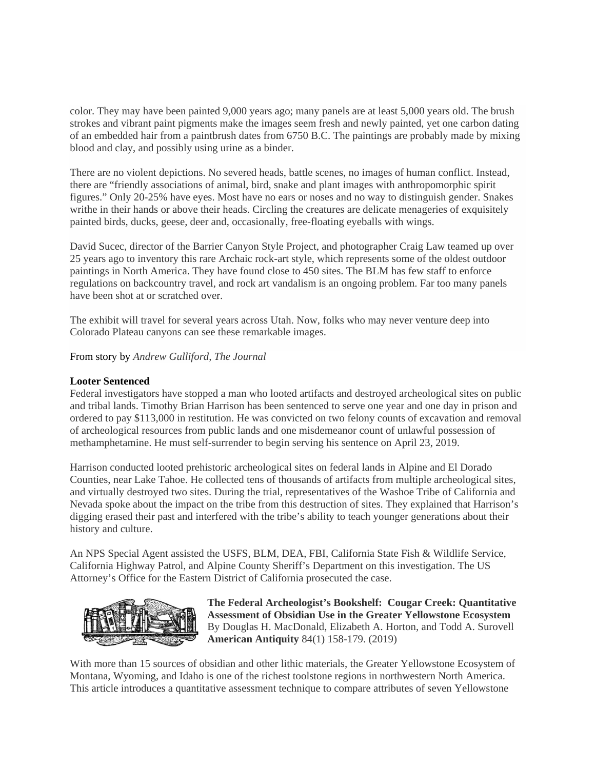color. They may have been painted 9,000 years ago; many panels are at least 5,000 years old. The brush strokes and vibrant paint pigments make the images seem fresh and newly painted, yet one carbon dating of an embedded hair from a paintbrush dates from 6750 B.C. The paintings are probably made by mixing blood and clay, and possibly using urine as a binder.

There are no violent depictions. No severed heads, battle scenes, no images of human conflict. Instead, there are "friendly associations of animal, bird, snake and plant images with anthropomorphic spirit figures." Only 20-25% have eyes. Most have no ears or noses and no way to distinguish gender. Snakes writhe in their hands or above their heads. Circling the creatures are delicate menageries of exquisitely painted birds, ducks, geese, deer and, occasionally, free-floating eyeballs with wings.

David Sucec, director of the Barrier Canyon Style Project, and photographer Craig Law teamed up over 25 years ago to inventory this rare Archaic rock-art style, which represents some of the oldest outdoor paintings in North America. They have found close to 450 sites. The BLM has few staff to enforce regulations on backcountry travel, and rock art vandalism is an ongoing problem. Far too many panels have been shot at or scratched over.

The exhibit will travel for several years across Utah. Now, folks who may never venture deep into Colorado Plateau canyons can see these remarkable images.

From story by *Andrew Gulliford, The Journal*

## **Looter Sentenced**

Federal investigators have stopped a man who looted artifacts and destroyed archeological sites on public and tribal lands. Timothy Brian Harrison has been sentenced to serve one year and one day in prison and ordered to pay \$113,000 in restitution. He was convicted on two felony counts of excavation and removal of archeological resources from public lands and one misdemeanor count of unlawful possession of methamphetamine. He must self-surrender to begin serving his sentence on April 23, 2019.

Harrison conducted looted prehistoric archeological sites on federal lands in Alpine and El Dorado Counties, near Lake Tahoe. He collected tens of thousands of artifacts from multiple archeological sites, and virtually destroyed two sites. During the trial, representatives of the Washoe Tribe of California and Nevada spoke about the impact on the tribe from this destruction of sites. They explained that Harrison's digging erased their past and interfered with the tribe's ability to teach younger generations about their history and culture.

An NPS Special Agent assisted the USFS, BLM, DEA, FBI, California State Fish & Wildlife Service, California Highway Patrol, and Alpine County Sheriff's Department on this investigation. The US Attorney's Office for the Eastern District of California prosecuted the case.



**The Federal Archeologist's Bookshelf: Cougar Creek: Quantitative Assessment of Obsidian Use in the Greater Yellowstone Ecosystem**  By Douglas H. MacDonald, Elizabeth A. Horton, and Todd A. Surovell **American Antiquity** 84(1) 158-179. (2019)

With more than 15 sources of obsidian and other lithic materials, the Greater Yellowstone Ecosystem of Montana, Wyoming, and Idaho is one of the richest toolstone regions in northwestern North America. This article introduces a quantitative assessment technique to compare attributes of seven Yellowstone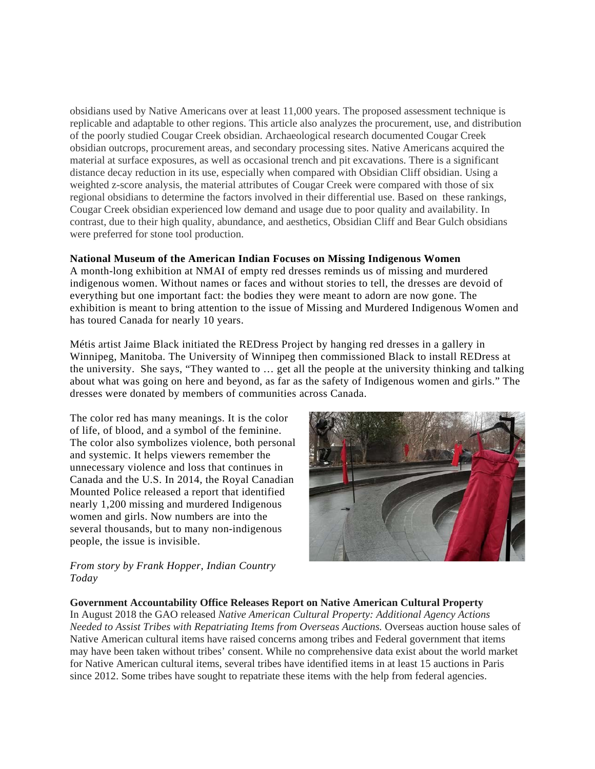obsidians used by Native Americans over at least 11,000 years. The proposed assessment technique is replicable and adaptable to other regions. This article also analyzes the procurement, use, and distribution of the poorly studied Cougar Creek obsidian. Archaeological research documented Cougar Creek obsidian outcrops, procurement areas, and secondary processing sites. Native Americans acquired the material at surface exposures, as well as occasional trench and pit excavations. There is a significant distance decay reduction in its use, especially when compared with Obsidian Cliff obsidian. Using a weighted z-score analysis, the material attributes of Cougar Creek were compared with those of six regional obsidians to determine the factors involved in their differential use. Based on these rankings, Cougar Creek obsidian experienced low demand and usage due to poor quality and availability. In contrast, due to their high quality, abundance, and aesthetics, Obsidian Cliff and Bear Gulch obsidians were preferred for stone tool production.

# **National Museum of the American Indian Focuses on Missing Indigenous Women**

A month-long exhibition at NMAI of empty red dresses reminds us of missing and murdered indigenous women. Without names or faces and without stories to tell, the dresses are devoid of everything but one important fact: the bodies they were meant to adorn are now gone. The exhibition is meant to bring attention to the issue of Missing and Murdered Indigenous Women and has toured Canada for nearly 10 years.

Métis artist Jaime Black initiated the REDress Project by hanging red dresses in a gallery in Winnipeg, Manitoba. The University of Winnipeg then commissioned Black to install REDress at the university. She says, "They wanted to … get all the people at the university thinking and talking about what was going on here and beyond, as far as the safety of Indigenous women and girls." The dresses were donated by members of communities across Canada.

The color red has many meanings. It is the color of life, of blood, and a symbol of the feminine. The color also symbolizes violence, both personal and systemic. It helps viewers remember the unnecessary violence and loss that continues in Canada and the U.S. In 2014, the Royal Canadian Mounted Police released a report that identified nearly 1,200 missing and murdered Indigenous women and girls. Now numbers are into the several thousands, but to many non-indigenous people, the issue is invisible.



# *From story by Frank Hopper, Indian Country Today*

#### **Government Accountability Office Releases Report on Native American Cultural Property**

In August 2018 the GAO released *Native American Cultural Property: Additional Agency Actions Needed to Assist Tribes with Repatriating Items from Overseas Auctions.* Overseas auction house sales of Native American cultural items have raised concerns among tribes and Federal government that items may have been taken without tribes' consent. While no comprehensive data exist about the world market for Native American cultural items, several tribes have identified items in at least 15 auctions in Paris since 2012. Some tribes have sought to repatriate these items with the help from federal agencies.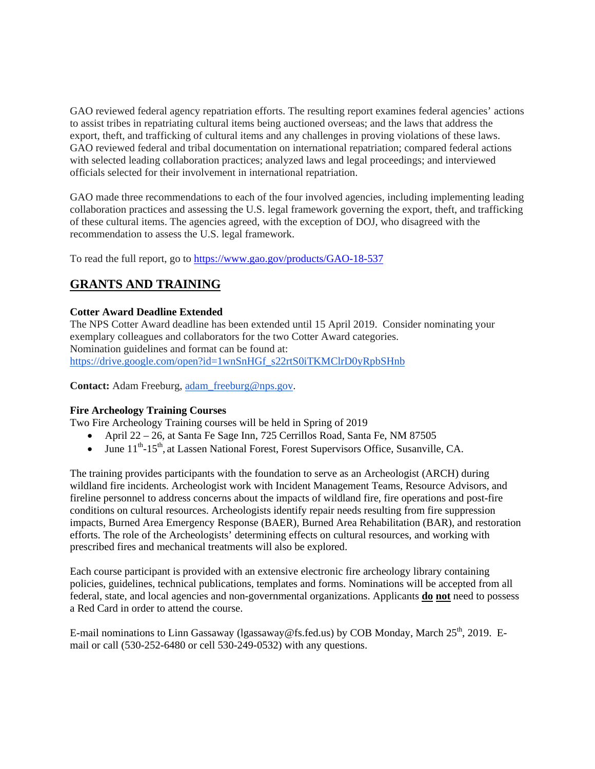GAO reviewed federal agency repatriation efforts. The resulting report examines federal agencies' actions to assist tribes in repatriating cultural items being auctioned overseas; and the laws that address the export, theft, and trafficking of cultural items and any challenges in proving violations of these laws. GAO reviewed federal and tribal documentation on international repatriation; compared federal actions with selected leading collaboration practices; analyzed laws and legal proceedings; and interviewed officials selected for their involvement in international repatriation.

GAO made three recommendations to each of the four involved agencies, including implementing leading collaboration practices and assessing the U.S. legal framework governing the export, theft, and trafficking of these cultural items. The agencies agreed, with the exception of DOJ, who disagreed with the recommendation to assess the U.S. legal framework.

To read the full report, go to<https://www.gao.gov/products/GAO-18-537>

# **GRANTS AND TRAINING**

# **Cotter Award Deadline Extended**

The NPS Cotter Award deadline has been extended until 15 April 2019. Consider nominating your exemplary colleagues and collaborators for the two Cotter Award categories. Nomination guidelines and format can be found at: [https://drive.google.com/open?id=1wnSnHGf\\_s22rtS0iTKMClrD0yRpbSHnb](https://drive.google.com/open?id=1wnSnHGf_s22rtS0iTKMClrD0yRpbSHnb)

Contact: Adam Freeburg, [adam\\_freeburg@nps.gov.](mailto:adam_freeburg@nps.gov)

# **Fire Archeology Training Courses**

Two Fire Archeology Training courses will be held in Spring of 2019

- April 22 26, at Santa Fe Sage Inn, 725 Cerrillos Road, Santa Fe, NM 87505
- June  $11^{th}$ -15<sup>th</sup>, at Lassen National Forest, Forest Supervisors Office, Susanville, CA.

The training provides participants with the foundation to serve as an Archeologist (ARCH) during wildland fire incidents. Archeologist work with Incident Management Teams, Resource Advisors, and fireline personnel to address concerns about the impacts of wildland fire, fire operations and post-fire conditions on cultural resources. Archeologists identify repair needs resulting from fire suppression impacts, Burned Area Emergency Response (BAER), Burned Area Rehabilitation (BAR), and restoration efforts. The role of the Archeologists' determining effects on cultural resources, and working with prescribed fires and mechanical treatments will also be explored.

Each course participant is provided with an extensive electronic fire archeology library containing policies, guidelines, technical publications, templates and forms. Nominations will be accepted from all federal, state, and local agencies and non-governmental organizations. Applicants **do not** need to possess a Red Card in order to attend the course.

E-mail nominations to Linn Gassaway (1gassaway@fs.fed.us) by COB Monday, March  $25<sup>th</sup>$ , 2019. Email or call (530-252-6480 or cell 530-249-0532) with any questions.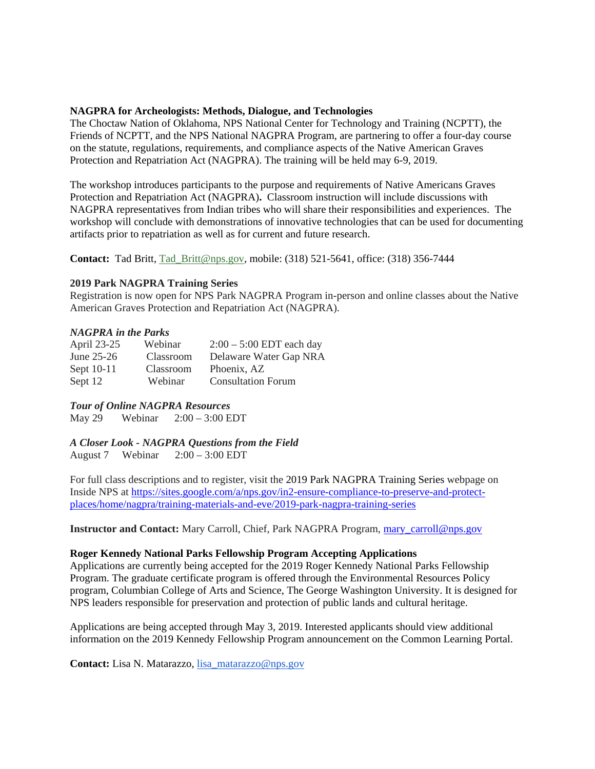# **NAGPRA for Archeologists: Methods, Dialogue, and Technologies**

The Choctaw Nation of Oklahoma, NPS National Center for Technology and Training (NCPTT), the Friends of NCPTT, and the NPS National NAGPRA Program, are partnering to offer a four-day course on the statute, regulations, requirements, and compliance aspects of the Native American Graves Protection and Repatriation Act (NAGPRA). The training will be held may 6-9, 2019.

The workshop introduces participants to the purpose and requirements of Native Americans Graves Protection and Repatriation Act (NAGPRA)**.** Classroom instruction will include discussions with NAGPRA representatives from Indian tribes who will share their responsibilities and experiences. The workshop will conclude with demonstrations of innovative technologies that can be used for documenting artifacts prior to repatriation as well as for current and future research.

**Contact:** Tad Britt, [Tad\\_Britt@nps.gov,](http://r20.rs6.net/tn.jsp?f=001w7yZwChcHW68hg_kg6FhJ3td0ZyPXWEHIUpj55EN8g4JazjeDQUlFGg9loTc3z0gZXBZG-hUOnQQBbky2Pf_yRxQHKRhA8sSvOX4t3TObJjC_3yEhPgwkHo_UFes0nUg2ktiaKc818F65eA6csvrwAKXQhbz6ljGfb6L0mLRA5u3Wob6kHVQIBGn9s8s9FI63yO_x0LTQ-s6hjccKc4ByN1QlS0RzQxH8ThpCwKAY_NnJ4i7LaqoVaD_-QKmCmfA&c=1BgoaYroUYG2xaDVzAL5RRJMIczEIGNOhBx5SOObIvc0Wd-wByX55Q==&ch=YkyeHyOVkTLCdmdJt17xPwnlDS6YqZtreFLDjdObnlfxo73TAzkwnQ==) mobile: (318) 521-5641, office: (318) 356-7444

## **2019 Park NAGPRA Training Series**

Registration is now open for NPS Park NAGPRA Program in-person and online classes about the Native American Graves Protection and Repatriation Act (NAGPRA).

## *NAGPRA in the Parks*

| April 23-25  | Webinar   | $2:00 - 5:00$ EDT each day |
|--------------|-----------|----------------------------|
| June $25-26$ | Classroom | Delaware Water Gap NRA     |
| Sept 10-11   | Classroom | Phoenix, AZ                |
| Sept 12      | Webinar   | <b>Consultation Forum</b>  |

*Tour of Online NAGPRA Resources*

May 29 Webinar 2:00 – 3:00 EDT

*A Closer Look - NAGPRA Questions from the Field* August 7 Webinar 2:00 – 3:00 EDT

For full class descriptions and to register, visit the 2019 Park NAGPRA Training Series webpage on Inside NPS at [https://sites.google.com/a/nps.gov/in2-ensure-compliance-to-preserve-and-protect](https://sites.google.com/a/nps.gov/in2-ensure-compliance-to-preserve-and-protect-places/home/nagpra/training-materials-and-eve/2019-park-nagpra-training-series)[places/home/nagpra/training-materials-and-eve/2019-park-nagpra-training-series](https://sites.google.com/a/nps.gov/in2-ensure-compliance-to-preserve-and-protect-places/home/nagpra/training-materials-and-eve/2019-park-nagpra-training-series)

**Instructor and Contact:** Mary Carroll, Chief, Park NAGPRA Program, [mary\\_carroll@nps.gov](mailto:mary_carroll@nps.gov)

#### **Roger Kennedy National Parks Fellowship Program Accepting Applications**

Applications are currently being accepted for the 2019 Roger Kennedy National Parks Fellowship Program. The graduate certificate program is offered through the Environmental Resources Policy program, Columbian College of Arts and Science, The George Washington University. It is designed for NPS leaders responsible for preservation and protection of public lands and cultural heritage.

Applications are being accepted through May 3, 2019. Interested applicants should view additional information on the 2019 Kennedy Fellowship Program announcement on the Common Learning Portal.

**Contact:** Lisa N. Matarazzo, [lisa\\_matarazzo@nps.gov](mailto:lisa_matarazzo@nps.gov)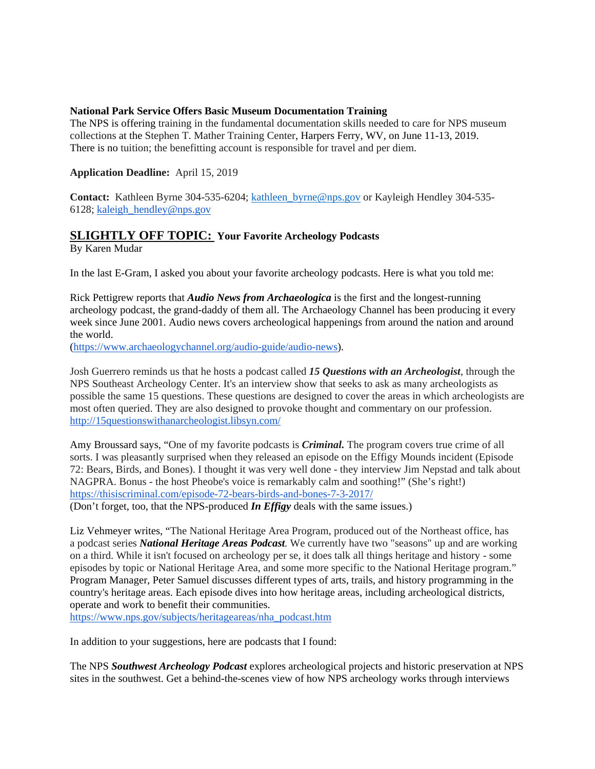## **National Park Service Offers Basic Museum Documentation Training**

The NPS is offering training in the fundamental documentation skills needed to care for NPS museum collections at the Stephen T. Mather Training Center, Harpers Ferry, WV, on June 11-13, 2019. There is no tuition; the benefitting account is responsible for travel and per diem.

# **Application Deadline:** April 15, 2019

Contact: Kathleen Byrne 304-535-6204; [kathleen\\_byrne@nps.gov](https://mail.google.com/mail/?view=cm&fs=1&tf=1&to=kathleen_byrne@nps.gov) or Kayleigh Hendley 304-535-6128; kaleigh hendley@nps.gov

# **SLIGHTLY OFF TOPIC: Your Favorite Archeology Podcasts**

By Karen Mudar

In the last E-Gram, I asked you about your favorite archeology podcasts. Here is what you told me:

Rick Pettigrew reports that *Audio News from Archaeologica* is the first and the longest-running archeology podcast, the grand-daddy of them all. The Archaeology Channel has been producing it every week since June 2001. Audio news covers archeological happenings from around the nation and around the world.

[\(https://www.archaeologychannel.org/audio-guide/audio-news\)](https://www.archaeologychannel.org/audio-guide/audio-news).

Josh Guerrero reminds us that he hosts a podcast called *15 Questions with an Archeologist*, through the NPS Southeast Archeology Center. It's an interview show that seeks to ask as many archeologists as possible the same 15 questions. These questions are designed to cover the areas in which archeologists are most often queried. They are also designed to provoke thought and commentary on our profession. <http://15questionswithanarcheologist.libsyn.com/>

Amy Broussard says, "One of my favorite podcasts is *Criminal.* The program covers true crime of all sorts. I was pleasantly surprised when they released an episode on the Effigy Mounds incident (Episode 72: Bears, Birds, and Bones). I thought it was very well done - they interview Jim Nepstad and talk about NAGPRA. Bonus - the host Pheobe's voice is remarkably calm and soothing!" (She's right!) <https://thisiscriminal.com/episode-72-bears-birds-and-bones-7-3-2017/>

(Don't forget, too, that the NPS-produced *In Effigy* deals with the same issues.)

Liz Vehmeyer writes, "The National Heritage Area Program, produced out of the Northeast office, has a podcast series *National Heritage Areas Podcast.* We currently have two "seasons" up and are working on a third. While it isn't focused on archeology per se, it does talk all things heritage and history - some episodes by topic or National Heritage Area, and some more specific to the National Heritage program." Program Manager, Peter Samuel discusses different types of arts, trails, and history programming in the country's heritage areas. Each episode dives into how heritage areas, including archeological districts, operate and work to benefit their communities.

[https://www.nps.gov/subjects/heritageareas/nha\\_podcast.htm](https://www.nps.gov/subjects/heritageareas/nha_podcast.htm)

In addition to your suggestions, here are podcasts that I found:

The NPS *Southwest Archeology Podcast* explores archeological projects and historic preservation at NPS sites in the southwest. Get a behind-the-scenes view of how NPS archeology works through interviews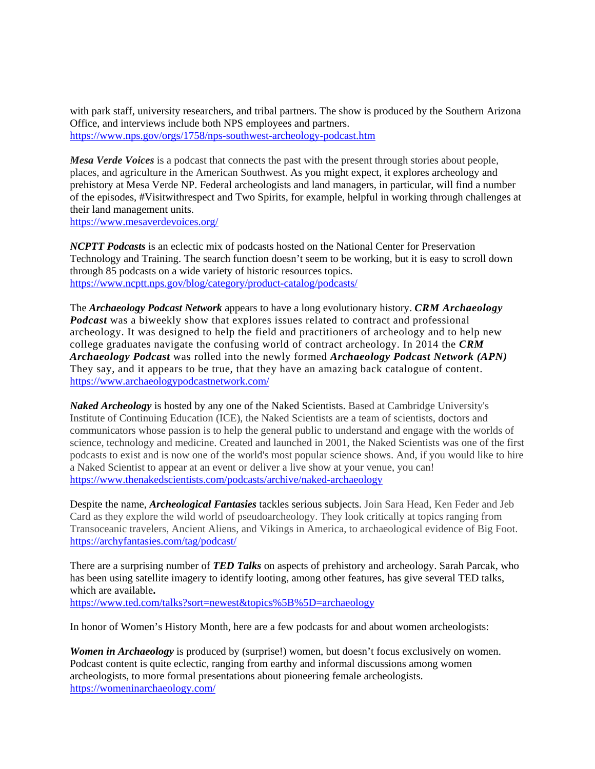with park staff, university researchers, and tribal partners. The show is produced by the Southern Arizona Office, and interviews include both NPS employees and partners. <https://www.nps.gov/orgs/1758/nps-southwest-archeology-podcast.htm>

*Mesa Verde Voices* is a podcast that connects the past with the present through stories about people, places, and agriculture in the American Southwest. As you might expect, it explores archeology and prehistory at Mesa Verde NP. Federal archeologists and land managers, in particular, will find a number of the episodes, #Visitwithrespect and Two Spirits, for example, helpful in working through challenges at their land management units.

<https://www.mesaverdevoices.org/>

*NCPTT Podcasts* is an eclectic mix of podcasts hosted on the National Center for Preservation Technology and Training. The search function doesn't seem to be working, but it is easy to scroll down through 85 podcasts on a wide variety of historic resources topics. <https://www.ncptt.nps.gov/blog/category/product-catalog/podcasts/>

The *Archaeology Podcast Network* appears to have a long evolutionary history. *CRM Archaeology Podcast* was a biweekly show that explores issues related to contract and professional archeology. It was designed to help the field and practitioners of archeology and to help new college graduates navigate the confusing world of contract archeology. In 2014 the *CRM Archaeology Podcast* was rolled into the newly formed *Archaeology Podcast Network (APN)* They say, and it appears to be true, that they have an amazing back catalogue of content. <https://www.archaeologypodcastnetwork.com/>

*Naked Archeology* is hosted by any one of the Naked Scientists. Based at Cambridge University's Institute of Continuing Education (ICE), the Naked Scientists are a team of scientists, doctors and communicators whose passion is to help the general public to understand and engage with the worlds of science, technology and medicine. Created and launched in 2001, the Naked Scientists was one of the first podcasts to exist and is now one of the world's most popular science shows. And, if you would like to hire a Naked Scientist to appear at an event or deliver a live show at your venue, you can! <https://www.thenakedscientists.com/podcasts/archive/naked-archaeology>

Despite the name, *Archeological Fantasies* tackles serious subjects. Join Sara Head, Ken Feder and Jeb Card as they explore the wild world of pseudoarcheology. They look critically at topics ranging from Transoceanic travelers, Ancient Aliens, and Vikings in America, to archaeological evidence of Big Foot. <https://archyfantasies.com/tag/podcast/>

There are a surprising number of *TED Talks* on aspects of prehistory and archeology. Sarah Parcak, who has been using satellite imagery to identify looting, among other features, has give several TED talks, which are available**.**

<https://www.ted.com/talks?sort=newest&topics%5B%5D=archaeology>

In honor of Women's History Month, here are a few podcasts for and about women archeologists:

*Women in Archaeology* is produced by (surprise!) women, but doesn't focus exclusively on women. Podcast content is quite eclectic, ranging from earthy and informal discussions among women archeologists, to more formal presentations about pioneering female archeologists. <https://womeninarchaeology.com/>